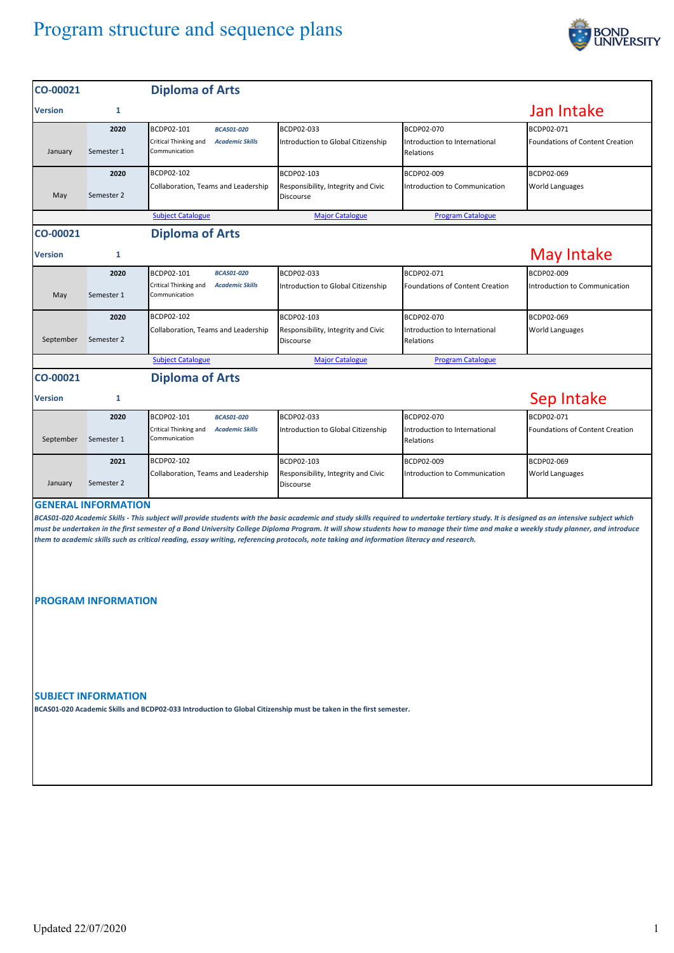## Program structure and sequence plans



| CO-00021                                                                                                                                                                                                                                                                                                                                                                                                                                                                                                                                                                                      |                    | <b>Diploma of Arts</b>                                                                              |                                                                       |                                                          |                                               |  |  |  |
|-----------------------------------------------------------------------------------------------------------------------------------------------------------------------------------------------------------------------------------------------------------------------------------------------------------------------------------------------------------------------------------------------------------------------------------------------------------------------------------------------------------------------------------------------------------------------------------------------|--------------------|-----------------------------------------------------------------------------------------------------|-----------------------------------------------------------------------|----------------------------------------------------------|-----------------------------------------------|--|--|--|
| <b>Version</b>                                                                                                                                                                                                                                                                                                                                                                                                                                                                                                                                                                                | 1                  |                                                                                                     |                                                                       |                                                          | Jan Intake                                    |  |  |  |
|                                                                                                                                                                                                                                                                                                                                                                                                                                                                                                                                                                                               | 2020<br>Semester 1 | BCDP02-101<br><b>BCAS01-020</b><br>Critical Thinking and<br><b>Academic Skills</b><br>Communication | BCDP02-033<br>Introduction to Global Citizenship                      | BCDP02-070<br>Introduction to International              | BCDP02-071<br>Foundations of Content Creation |  |  |  |
| January<br>May                                                                                                                                                                                                                                                                                                                                                                                                                                                                                                                                                                                | 2020<br>Semester 2 | BCDP02-102<br>Collaboration, Teams and Leadership                                                   | BCDP02-103<br>Responsibility, Integrity and Civic<br>Discourse        | Relations<br>BCDP02-009<br>Introduction to Communication | BCDP02-069<br><b>World Languages</b>          |  |  |  |
|                                                                                                                                                                                                                                                                                                                                                                                                                                                                                                                                                                                               |                    | <b>Subject Catalogue</b>                                                                            | <b>Major Catalogue</b>                                                | <b>Program Catalogue</b>                                 |                                               |  |  |  |
| CO-00021                                                                                                                                                                                                                                                                                                                                                                                                                                                                                                                                                                                      |                    | <b>Diploma of Arts</b>                                                                              |                                                                       |                                                          |                                               |  |  |  |
| <b>Version</b>                                                                                                                                                                                                                                                                                                                                                                                                                                                                                                                                                                                | 1                  |                                                                                                     |                                                                       |                                                          | <b>May Intake</b>                             |  |  |  |
| May                                                                                                                                                                                                                                                                                                                                                                                                                                                                                                                                                                                           | 2020<br>Semester 1 | BCDP02-101<br><b>BCAS01-020</b><br>Critical Thinking and<br><b>Academic Skills</b><br>Communication | BCDP02-033<br>Introduction to Global Citizenship                      | BCDP02-071<br><b>Foundations of Content Creation</b>     | BCDP02-009<br>Introduction to Communication   |  |  |  |
| September                                                                                                                                                                                                                                                                                                                                                                                                                                                                                                                                                                                     | 2020<br>Semester 2 | BCDP02-102<br>Collaboration, Teams and Leadership                                                   | BCDP02-103<br>Responsibility, Integrity and Civic<br><b>Discourse</b> | BCDP02-070<br>Introduction to International<br>Relations | BCDP02-069<br>World Languages                 |  |  |  |
|                                                                                                                                                                                                                                                                                                                                                                                                                                                                                                                                                                                               |                    | <b>Subject Catalogue</b>                                                                            | <b>Major Catalogue</b>                                                | <b>Program Catalogue</b>                                 |                                               |  |  |  |
| CO-00021                                                                                                                                                                                                                                                                                                                                                                                                                                                                                                                                                                                      |                    | <b>Diploma of Arts</b>                                                                              |                                                                       |                                                          |                                               |  |  |  |
| <b>Version</b>                                                                                                                                                                                                                                                                                                                                                                                                                                                                                                                                                                                | 1                  |                                                                                                     |                                                                       |                                                          | Sep Intake                                    |  |  |  |
| September                                                                                                                                                                                                                                                                                                                                                                                                                                                                                                                                                                                     | 2020<br>Semester 1 | BCDP02-101<br><b>BCAS01-020</b><br>Critical Thinking and<br><b>Academic Skills</b><br>Communication | BCDP02-033<br>Introduction to Global Citizenship                      | BCDP02-070<br>Introduction to International<br>Relations | BCDP02-071<br>Foundations of Content Creation |  |  |  |
| January                                                                                                                                                                                                                                                                                                                                                                                                                                                                                                                                                                                       | 2021<br>Semester 2 | BCDP02-102<br>Collaboration, Teams and Leadership                                                   | BCDP02-103<br>Responsibility, Integrity and Civic<br><b>Discourse</b> | BCDP02-009<br>Introduction to Communication              | BCDP02-069<br><b>World Languages</b>          |  |  |  |
| <b>GENERAL INFORMATION</b><br>BCAS01-020 Academic Skills - This subject will provide students with the basic academic and study skills required to undertake tertiary study. It is designed as an intensive subject which<br>must be undertaken in the first semester of a Bond University College Diploma Program. It will show students how to manage their time and make a weekly study planner, and introduce<br>them to academic skills such as critical reading, essay writing, referencing protocols, note taking and information literacy and research.<br><b>PROGRAM INFORMATION</b> |                    |                                                                                                     |                                                                       |                                                          |                                               |  |  |  |
| <b>SUBJECT INFORMATION</b><br>BCAS01-020 Academic Skills and BCDP02-033 Introduction to Global Citizenship must be taken in the first semester.                                                                                                                                                                                                                                                                                                                                                                                                                                               |                    |                                                                                                     |                                                                       |                                                          |                                               |  |  |  |